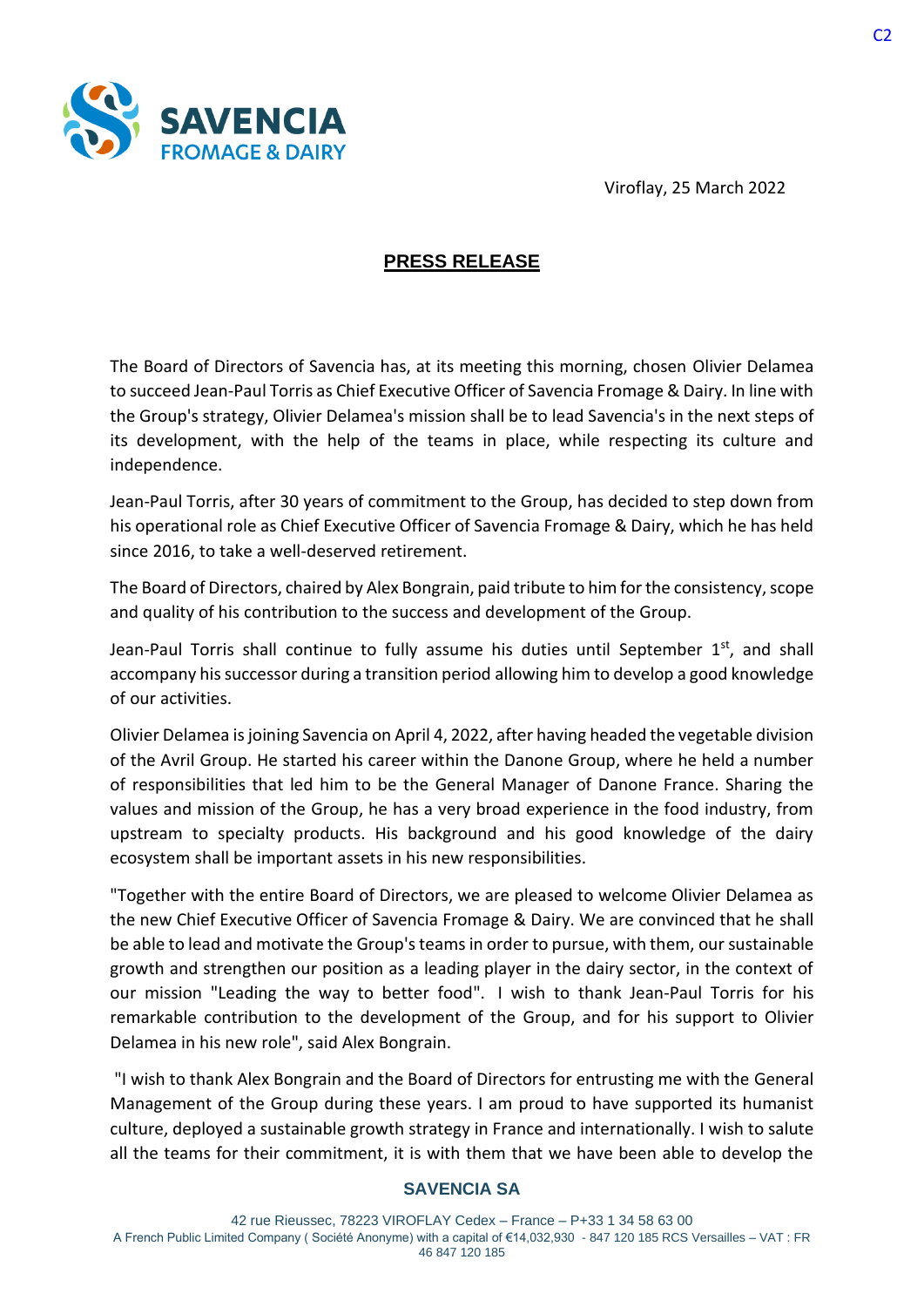



## **PRESS RELEASE**

The Board of Directors of Savencia has, at its meeting this morning, chosen Olivier Delamea to succeed Jean-Paul Torris as Chief Executive Officer of Savencia Fromage & Dairy. In line with the Group's strategy, Olivier Delamea's mission shall be to lead Savencia's in the next steps of its development, with the help of the teams in place, while respecting its culture and independence.

Jean-Paul Torris, after 30 years of commitment to the Group, has decided to step down from his operational role as Chief Executive Officer of Savencia Fromage & Dairy, which he has held since 2016, to take a well-deserved retirement.

The Board of Directors, chaired by Alex Bongrain, paid tribute to him for the consistency, scope and quality of his contribution to the success and development of the Group.

Jean-Paul Torris shall continue to fully assume his duties until September 1<sup>st</sup>, and shall accompany his successor during a transition period allowing him to develop a good knowledge of our activities.

Olivier Delamea is joining Savencia on April 4, 2022, after having headed the vegetable division of the Avril Group. He started his career within the Danone Group, where he held a number of responsibilities that led him to be the General Manager of Danone France. Sharing the values and mission of the Group, he has a very broad experience in the food industry, from upstream to specialty products. His background and his good knowledge of the dairy ecosystem shall be important assets in his new responsibilities.

"Together with the entire Board of Directors, we are pleased to welcome Olivier Delamea as the new Chief Executive Officer of Savencia Fromage & Dairy. We are convinced that he shall be able to lead and motivate the Group's teams in order to pursue, with them, our sustainable growth and strengthen our position as a leading player in the dairy sector, in the context of our mission "Leading the way to better food". I wish to thank Jean-Paul Torris for his remarkable contribution to the development of the Group, and for his support to Olivier Delamea in his new role", said Alex Bongrain.

"I wish to thank Alex Bongrain and the Board of Directors for entrusting me with the General Management of the Group during these years. I am proud to have supported its humanist culture, deployed a sustainable growth strategy in France and internationally. I wish to salute all the teams for their commitment, it is with them that we have been able to develop the

## **SAVENCIA SA**